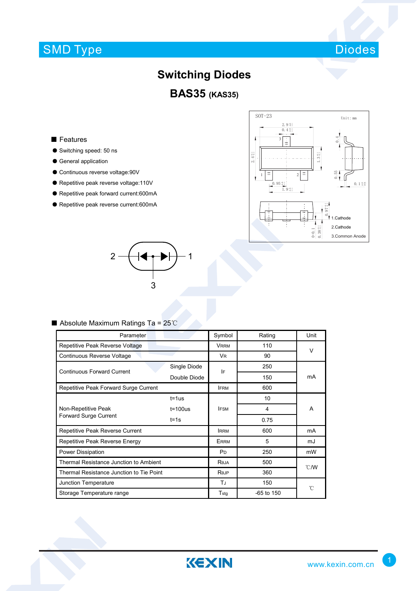# SMD Type



### **Switching Diodes**

**BAS35 (KAS35)**

#### ■ Features

- Switching speed: 50 ns
- General application
- Continuous reverse voltage:90V
- Repetitive peak reverse voltage:110V
- Repetitive peak forward current:600mA
- Repetitive peak reverse current:600mA





### ■ Absolute Maximum Ratings Ta = 25℃

| Parameter                                | Symbol         | Rating         | Unit         |                |  |
|------------------------------------------|----------------|----------------|--------------|----------------|--|
| Repetitive Peak Reverse Voltage          |                | <b>VRRM</b>    | 110          | $\vee$         |  |
| Continuous Reverse Voltage               |                | V <sub>R</sub> | 90           |                |  |
| <b>Continuous Forward Current</b>        | Single Diode   | IF             | 250          | mA             |  |
|                                          | Double Diode   |                | 150          |                |  |
| Repetitive Peak Forward Surge Current    | <b>IFRM</b>    | 600            |              |                |  |
| Non-Repetitive Peak                      | $t = 1$ us     |                | 10           |                |  |
|                                          | $t = 100$ us   | <b>IFSM</b>    | 4            | A              |  |
| Forward Surge Current                    | $t = 1s$       |                | 0.75         |                |  |
| Repetitive Peak Reverse Current          | <b>IRRM</b>    | 600            | mA           |                |  |
| Repetitive Peak Reverse Energy           | ERRM           | 5              | mJ           |                |  |
| Power Dissipation                        | P <sub>D</sub> | 250            | mW           |                |  |
| Thermal Resistance Junction to Ambient   |                | Reja           | 500          | $^{\circ}$ C/W |  |
| Thermal Resistance Junction to Tie Point |                | Rejp           | 360          |                |  |
| Junction Temperature                     |                | TJ             | 150          | °C             |  |
| Storage Temperature range                |                | Tstg           | $-65$ to 150 |                |  |

KEXIN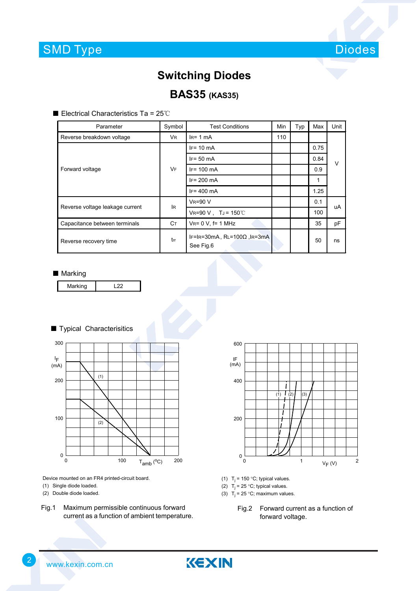

### **Switching Diodes**

### **BAS35 (KAS35)**

■ Electrical Characteristics Ta = 25℃

| Parameter                       | Symbol    | <b>Test Conditions</b>                           | Min | Typ | Max  | Unit   |  |
|---------------------------------|-----------|--------------------------------------------------|-----|-----|------|--------|--|
| Reverse breakdown voltage       | <b>VR</b> | $IR= 1 mA$                                       | 110 |     |      |        |  |
| Forward voltage                 | <b>VF</b> | $IF = 10 mA$                                     |     |     | 0.75 | $\vee$ |  |
|                                 |           | $IF = 50 mA$                                     |     |     | 0.84 |        |  |
|                                 |           | $IF = 100 \text{ mA}$                            |     |     | 0.9  |        |  |
|                                 |           | $IF = 200$ mA                                    |     |     | 1    |        |  |
|                                 |           | $IF = 400$ mA                                    |     |     | 1.25 |        |  |
| Reverse voltage leakage current | lR.       | <b>VR=90 V</b>                                   |     |     | 0.1  | uA     |  |
|                                 |           | $V_{R} = 90 V$ , T <sub>J</sub> = 150°C          |     |     | 100  |        |  |
| Capacitance between terminals   | Cт        | $V_{R} = 0 V$ , f= 1 MHz                         |     |     | 35   | pF     |  |
| Reverse recovery time           | trr       | IF=IR=30mA, $RL=100\Omega$ , IR=3mA<br>See Fig.6 |     |     | 50   | ns     |  |

#### ■ Marking



#### ■ Typical Characterisitics



Device mounted on an FR4 printed-circuit board.

- (1) Single diode loaded.
- (2) Double diode loaded.
- Fig.1 Maximum permissible continuous forward current as a function of ambient temperature.



- (1)  $T_i = 150 °C$ ; typical values.
- (2)  $T_j = 25 \degree C$ ; typical values.
- (3)  $T_i = 25 \degree C$ ; maximum values.
	- Fig.2 Forward current as a function of forward voltage.

2